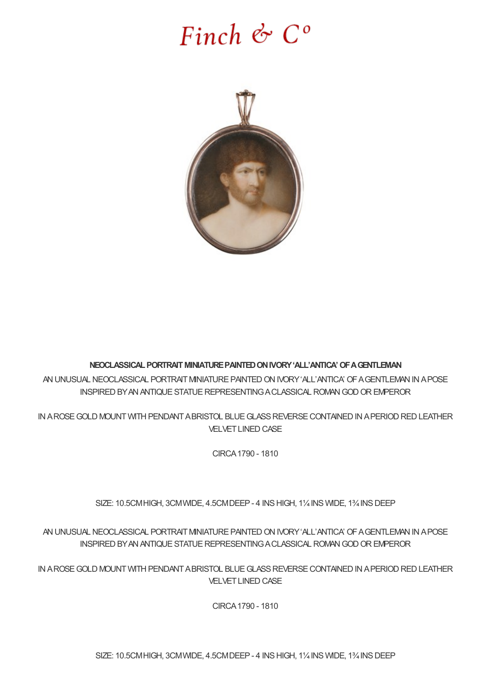## Finch  $\mathfrak{G}$   $C^{\circ}$



## **NEOCLASSICALPORTRAITMINIATUREPAINTEDONIVORY'ALL'ANTICA'OFAGENTLEMAN**

AN UNUSUAL NEOCLASSICAL PORTRAIT MINIATURE PAINTED ON IVORY 'ALL'ANTICA' OF A GENTLEMAN IN A POSE INSPIREDBYANANTIQUESTATUEREPRESENTINGACLASSICAL ROMANGODOREMPEROR

IN AROSE GOLD MOUNT WITH PENDANT ABRISTOL BLUE GLASS REVERSE CONTAINED IN A PERIOD RED LEATHER **VELVET LINED CASE** 

CIRCA1790 - 1810

SIZE: 10.5CMHIGH, 3CMWIDE, 4.5CMDEEP- 4 INSHIGH, 1¼INS WIDE, 1¾INSDEEP

AN UNUSUAL NEOCLASSICAL PORTRAIT MINIATURE PAINTED ON IVORY 'ALL'ANTICA' OF A GENTLEMAN IN A POSE INSPIRED BY AN ANTIQUE STATUE REPRESENTING A CLASSICAL ROMAN GOD OR EMPEROR

IN AROSE GOLD MOUNT WITH PENDANT ABRISTOL BLUE GLASS REVERSE CONTAINED IN A PERIOD RED LEATHER **VELVET LINED CASE** 

CIRCA1790 - 1810